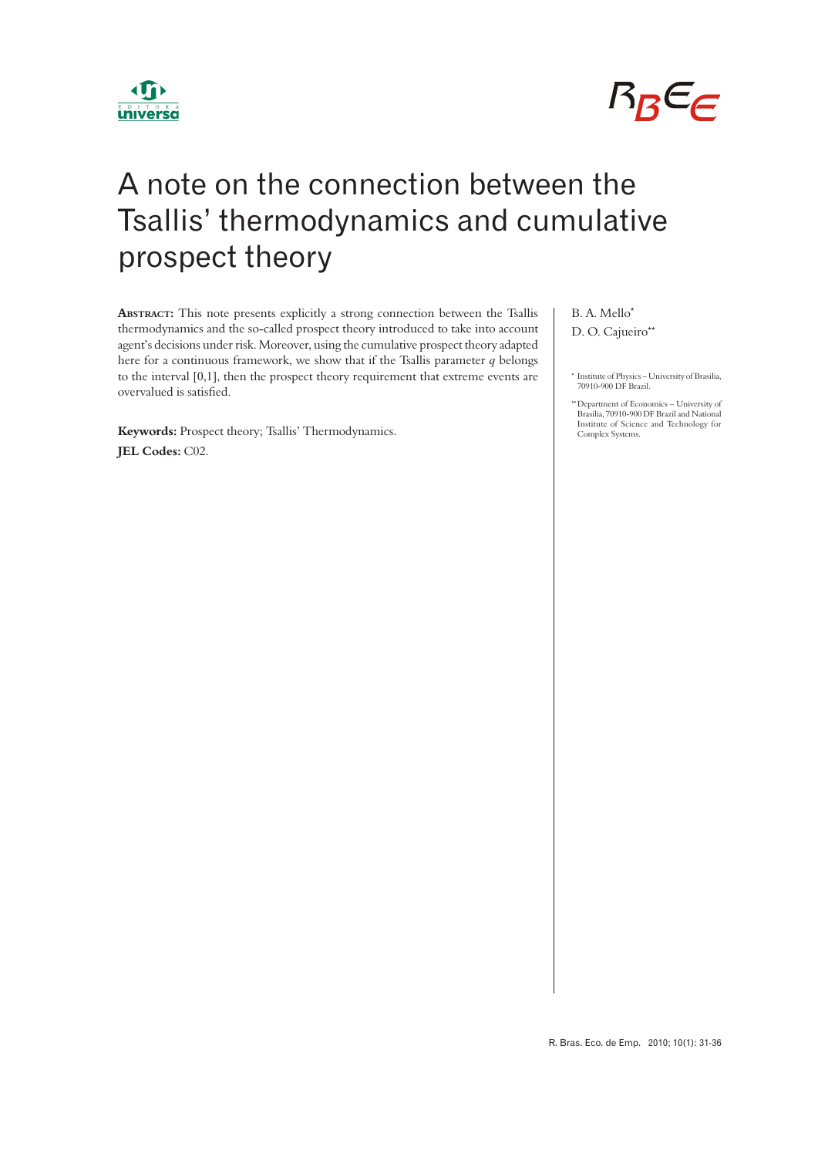



# A note on the connection between the Tsallis' thermodynamics and cumulative prospect theory

**ABSTRACT:** This note presents explicitly a strong connection between the Tsallis thermodynamics and the so-called prospect theory introduced to take into account agent's decisions under risk. Moreover, using the cumulative prospect theory adapted here for a continuous framework, we show that if the Tsallis parameter *q* belongs to the interval [0,1], then the prospect theory requirement that extreme events are overvalued is satisfied.

**Keywords:** Prospect theory; Tsallis' Thermodynamics. **JEL Codes:** C02.

## B. A. Mello\* D. O. Cajueiro\*\*

\* Institute of Physics – University of Brasilia, 70910-900 DF Brazil.

\*\*Department of Economics – University of Brasilia, 70910-900 DF Brazil and National Institute of Science and Technology for Complex Systems.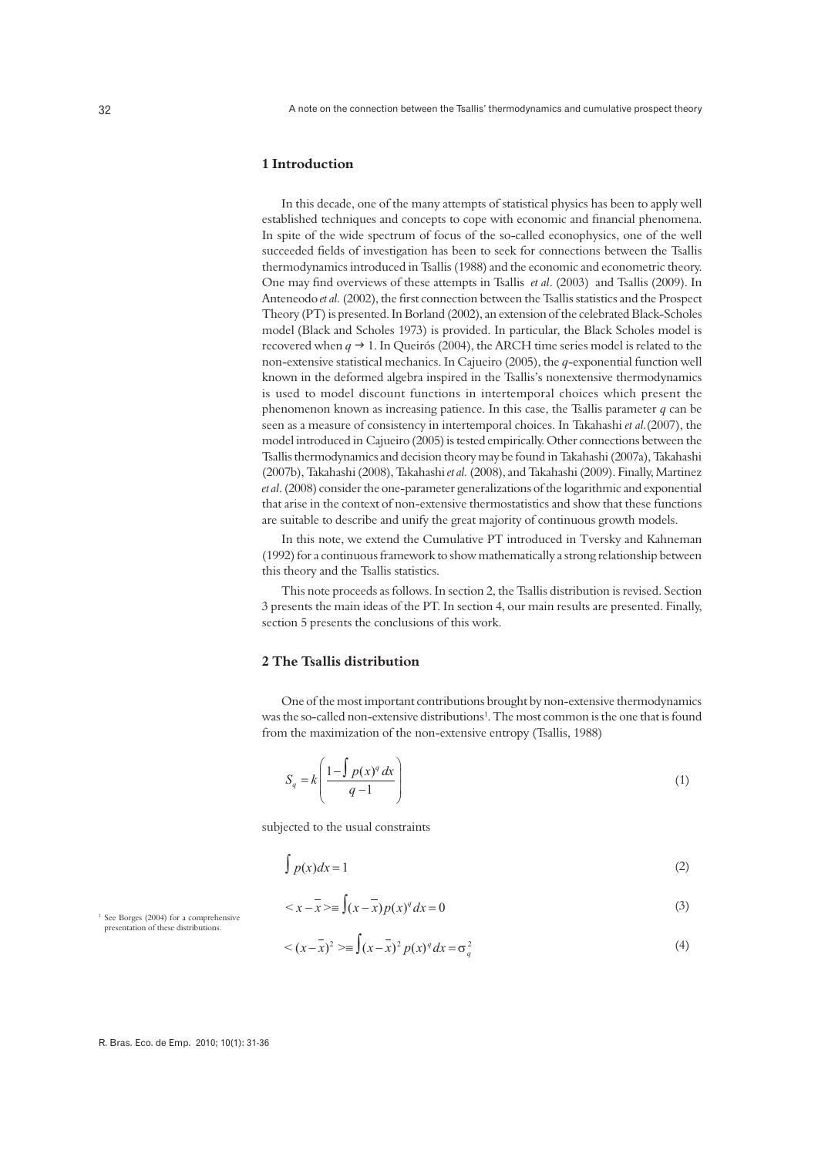## **1 Introduction**

In this decade, one of the many attempts of statistical physics has been to apply well established techniques and concepts to cope with economic and financial phenomena. In spite of the wide spectrum of focus of the so-called econophysics, one of the well succeeded fields of investigation has been to seek for connections between the Tsallis thermodynamics introduced in Tsallis (1988) and the economic and econometric theory. One may find overviews of these attempts in Tsallis *et al.* (2003) and Tsallis (2009). In Anteneodo et al. (2002), the first connection between the Tsallis statistics and the Prospect Theory (PT) is presented. In Borland (2002), an extension of the celebrated Black-Scholes model (Black and Scholes 1973) is provided. In particular, the Black Scholes model is recovered when  $q \rightarrow 1$ . In Queirós (2004), the ARCH time series model is related to the non-extensive statistical mechanics. In Cajueiro (2005), the *q*-exponential function well known in the deformed algebra inspired in the Tsallis's nonextensive thermodynamics is used to model discount functions in intertemporal choices which present the phenomenon known as increasing patience. In this case, the Tsallis parameter *q* can be seen as a measure of consistency in intertemporal choices. In Takahashi *et al.*(2007), the model introduced in Cajueiro (2005) is tested empirically. Other connections between the Tsallis thermodynamics and decision theory may be found in Takahashi (2007a), Takahashi (2007b), Takahashi (2008), Takahashi *et al.* (2008), and Takahashi (2009). Finally, Martinez *et al*. (2008) consider the one-parameter generalizations of the logarithmic and exponential that arise in the context of non-extensive thermostatistics and show that these functions are suitable to describe and unify the great majority of continuous growth models.

In this note, we extend the Cumulative PT introduced in Tversky and Kahneman (1992) for a continuous framework to show mathematically a strong relationship between this theory and the Tsallis statistics.

This note proceeds as follows. In section 2, the Tsallis distribution is revised. Section 3 presents the main ideas of the PT. In section 4, our main results are presented. Finally, section 5 presents the conclusions of this work.

## **2 The Tsallis distribution**

One of the most important contributions brought by non-extensive thermodynamics was the so-called non-extensive distributions<sup>1</sup>. The most common is the one that is found from the maximization of the non-extensive entropy (Tsallis, 1988)

$$
S_q = k \left( \frac{1 - \int p(x)^q dx}{q - 1} \right) \tag{1}
$$

subjected to the usual constraints

$$
\int p(x)dx = 1
$$
 (2)

$$
\langle x - \overline{x} \rangle = \int (x - \overline{x}) p(x)^{q} dx = 0
$$
 (3)

<sup>1</sup> See Borges (2004) for a comprehensive presentation of these distributions.

$$
\langle (x - \bar{x})^2 \rangle = \int (x - \bar{x})^2 p(x)^q dx = \sigma_q^2
$$
 (4)

R. Bras. Eco. de Emp. 2010; 10(1): 31-36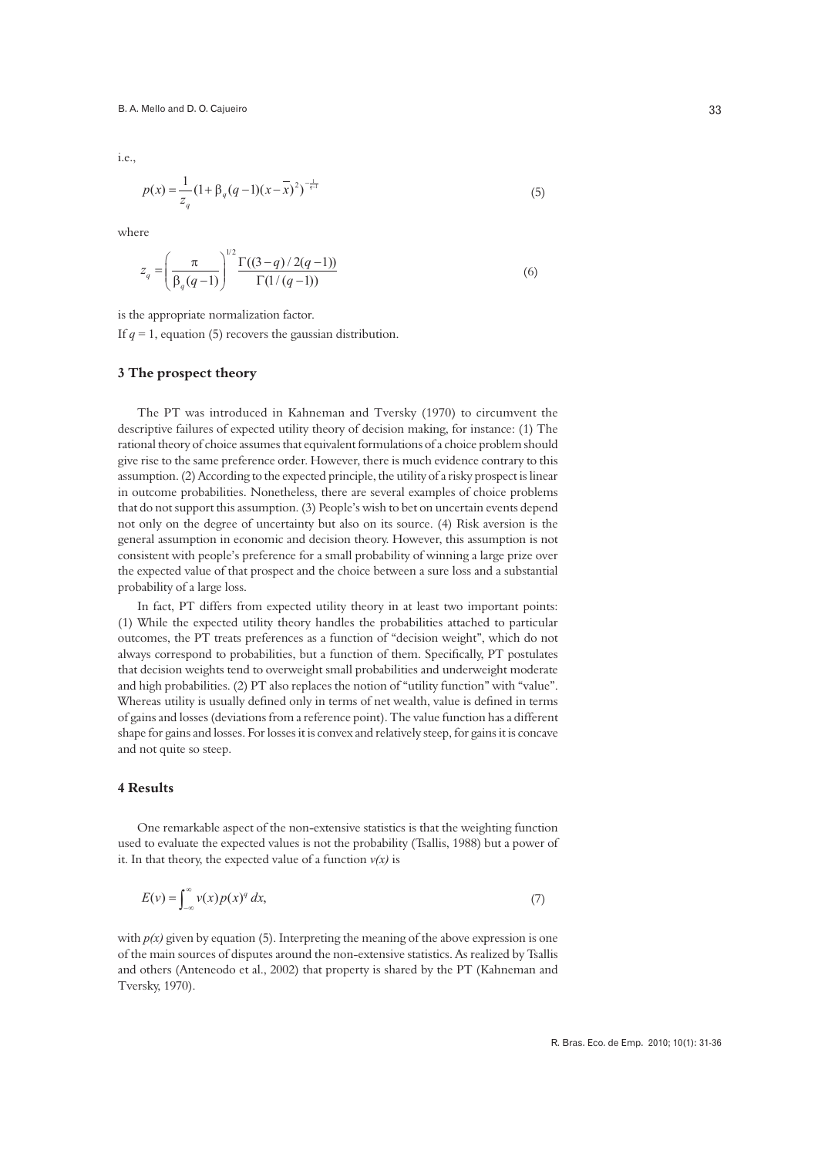i.e.,

$$
p(x) = \frac{1}{z_q} \left(1 + \beta_q (q-1)(x-\overline{x})^2\right)^{-\frac{1}{q-1}}\tag{5}
$$

where

$$
z_q = \left(\frac{\pi}{\beta_q(q-1)}\right)^{1/2} \frac{\Gamma((3-q)/2(q-1))}{\Gamma(1/(q-1))}
$$
\n(6)

is the appropriate normalization factor.

If  $q = 1$ , equation (5) recovers the gaussian distribution.

#### **3 The prospect theory**

The PT was introduced in Kahneman and Tversky (1970) to circumvent the descriptive failures of expected utility theory of decision making, for instance: (1) The rational theory of choice assumes that equivalent formulations of a choice problem should give rise to the same preference order. However, there is much evidence contrary to this assumption. (2) According to the expected principle, the utility of a risky prospect is linear in outcome probabilities. Nonetheless, there are several examples of choice problems that do not support this assumption. (3) People's wish to bet on uncertain events depend not only on the degree of uncertainty but also on its source. (4) Risk aversion is the general assumption in economic and decision theory. However, this assumption is not consistent with people's preference for a small probability of winning a large prize over the expected value of that prospect and the choice between a sure loss and a substantial probability of a large loss.

In fact, PT differs from expected utility theory in at least two important points: (1) While the expected utility theory handles the probabilities attached to particular outcomes, the PT treats preferences as a function of "decision weight", which do not always correspond to probabilities, but a function of them. Specifically, PT postulates that decision weights tend to overweight small probabilities and underweight moderate and high probabilities. (2) PT also replaces the notion of "utility function" with "value". Whereas utility is usually defined only in terms of net wealth, value is defined in terms of gains and losses (deviations from a reference point). The value function has a different shape for gains and losses. For losses it is convex and relatively steep, for gains it is concave and not quite so steep.

#### **4 Results**

One remarkable aspect of the non-extensive statistics is that the weighting function used to evaluate the expected values is not the probability (Tsallis, 1988) but a power of it. In that theory, the expected value of a function  $v(x)$  is

$$
E(v) = \int_{-\infty}^{\infty} v(x) p(x)^q dx,
$$
 (7)

with *p(x)* given by equation (5). Interpreting the meaning of the above expression is one of the main sources of disputes around the non-extensive statistics. As realized by Tsallis and others (Anteneodo et al., 2002) that property is shared by the PT (Kahneman and Tversky, 1970).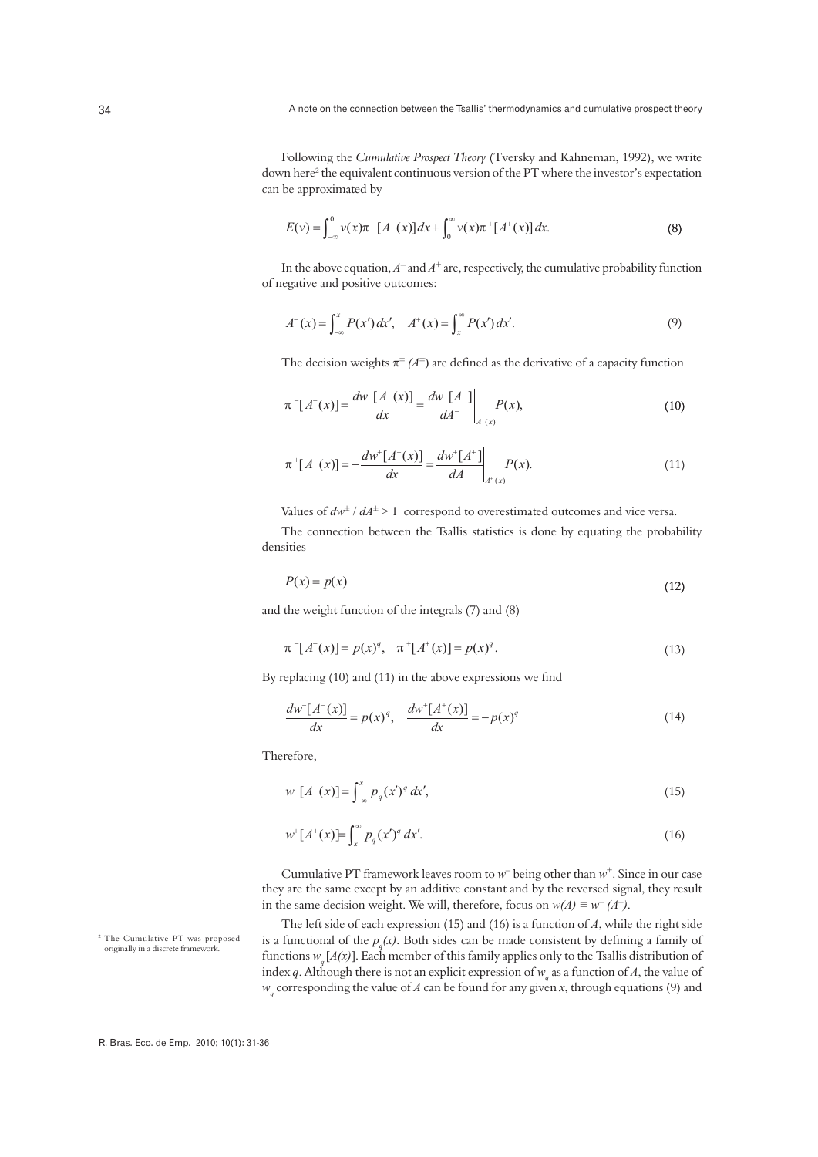Following the *Cumulative Prospect Theory* (Tversky and Kahneman, 1992), we write down here<sup>2</sup> the equivalent continuous version of the PT where the investor's expectation can be approximated by

$$
E(v) = \int_{-\infty}^{0} v(x)\pi^{-}[A^{-}(x)]dx + \int_{0}^{\infty} v(x)\pi^{+}[A^{+}(x)]dx.
$$
 (8)

In the above equation,  $A^-$  and  $A^+$  are, respectively, the cumulative probability function of negative and positive outcomes:

$$
A^{-}(x) = \int_{-\infty}^{x} P(x') dx', \quad A^{+}(x) = \int_{x}^{\infty} P(x') dx'.
$$
 (9)

The decision weights  $\pi^{\pm}(A^{\pm})$  are defined as the derivative of a capacity function

$$
\pi^{-}[A^{-}(x)] = \frac{dw^{-}[A^{-}(x)]}{dx} = \frac{dw^{-}[A^{-}]}{dA^{-}}\bigg|_{A^{-}(x)}P(x),
$$
\n(10)

$$
\pi^+[A^+(x)] = -\frac{dw^+[A^+(x)]}{dx} = \frac{dw^+[A^+]}{dA^+} \bigg|_{A^+(x)} P(x). \tag{11}
$$

Values of  $dw^{\pm}$  /  $dA^{\pm}$  > 1 correspond to overestimated outcomes and vice versa.

The connection between the Tsallis statistics is done by equating the probability densities

$$
P(x) = p(x) \tag{12}
$$

and the weight function of the integrals (7) and (8)

$$
\pi^{-}[A^{-}(x)] = p(x)^{q}, \quad \pi^{+}[A^{+}(x)] = p(x)^{q}.
$$
\n(13)

By replacing  $(10)$  and  $(11)$  in the above expressions we find

$$
\frac{dw^-[A^-(x)]}{dx} = p(x)^q, \quad \frac{dw^+[A^+(x)]}{dx} = -p(x)^q
$$
\n(14)

Therefore,

$$
w^{-}[A^{-}(x)] = \int_{-\infty}^{x} p_q(x')^q dx',
$$
\n(15)

$$
w^+[A^+(x)] = \int_x^\infty p_q(x')^q \, dx'.\tag{16}
$$

Cumulative PT framework leaves room to *w*– being other than *w*+. Since in our case they are the same except by an additive constant and by the reversed signal, they result in the same decision weight. We will, therefore, focus on  $w(A) \equiv w^{-}(A^{-})$ .

The left side of each expression (15) and (16) is a function of *A*, while the right side is a functional of the  $p_q(x)$ . Both sides can be made consistent by defining a family of functions  $w_{n}[A(x)]$ . Each member of this family applies only to the Tsallis distribution of index *q*. Although there is not an explicit expression of  $w_q$  as a function of *A*, the value of *wq* corresponding the value of *A* can be found for any given *x*, through equations (9) and

<sup>2</sup> The Cumulative PT was proposed originally in a discrete framework.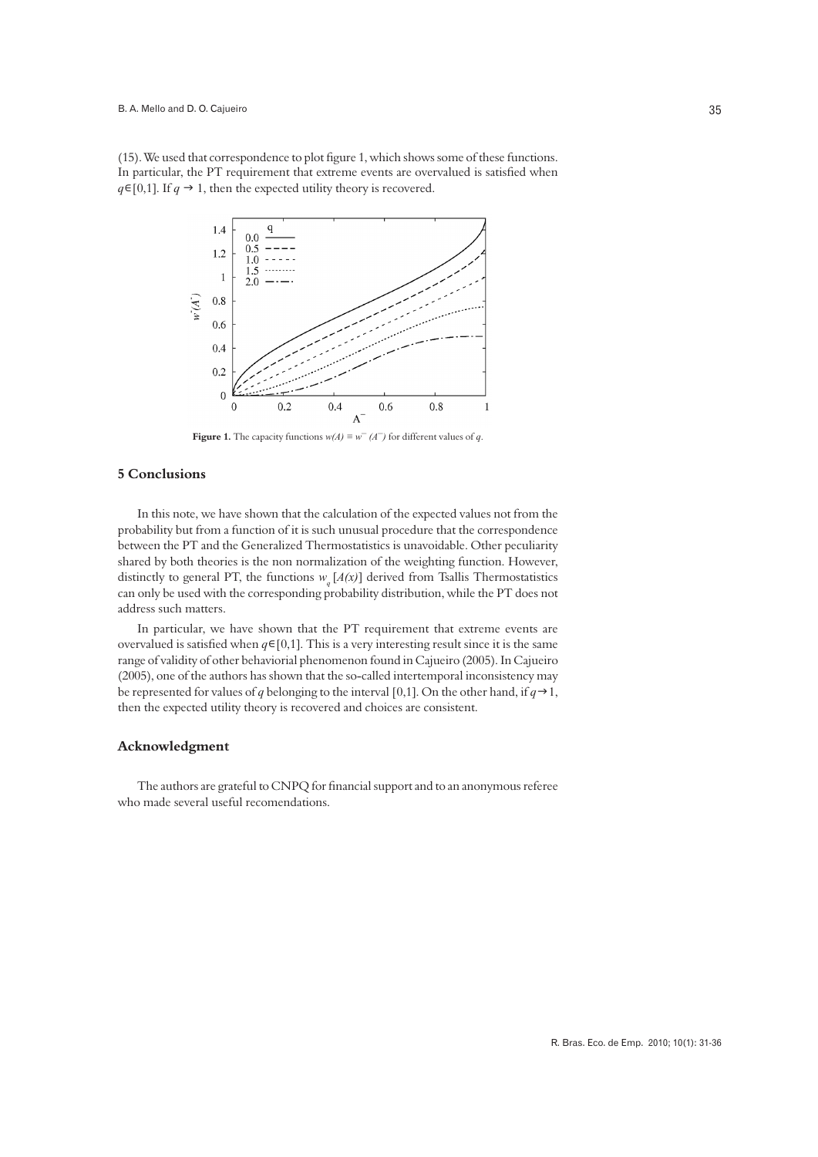(15). We used that correspondence to plot figure 1, which shows some of these functions. In particular, the PT requirement that extreme events are overvalued is satisfied when  $q \in [0,1]$ . If  $q \to 1$ , then the expected utility theory is recovered.



**Figure 1.** The capacity functions  $w(A) \equiv w^{-}(A^{-})$  for different values of *q*.

## **5 Conclusions**

In this note, we have shown that the calculation of the expected values not from the probability but from a function of it is such unusual procedure that the correspondence between the PT and the Generalized Thermostatistics is unavoidable. Other peculiarity shared by both theories is the non normalization of the weighting function. However, distinctly to general PT, the functions  $w_a[A(x)]$  derived from Tsallis Thermostatistics can only be used with the corresponding probability distribution, while the PT does not address such matters.

In particular, we have shown that the PT requirement that extreme events are overvalued is satisfied when  $q \in [0,1]$ . This is a very interesting result since it is the same range of validity of other behaviorial phenomenon found in Cajueiro (2005). In Cajueiro (2005), one of the authors has shown that the so-called intertemporal inconsistency may be represented for values of *q* belonging to the interval [0,1]. On the other hand, if  $q \rightarrow 1$ , then the expected utility theory is recovered and choices are consistent.

#### **Acknowledgment**

The authors are grateful to CNPQ for financial support and to an anonymous referee who made several useful recomendations.